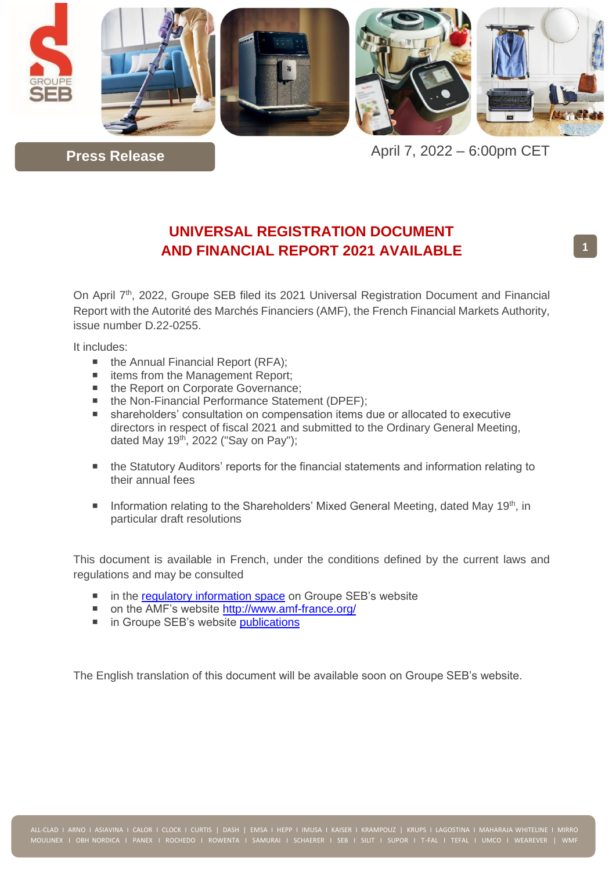

April 7, 2022 – 6:00pm CET

# **UNIVERSAL REGISTRATION DOCUMENT AND FINANCIAL REPORT 2021 AVAILABLE**

On April 7<sup>th</sup>, 2022, Groupe SEB filed its 2021 Universal Registration Document and Financial Report with the Autorité des Marchés Financiers (AMF), the French Financial Markets Authority, issue number D.22-0255.

It includes:

**Press Release**

- $\blacksquare$  the Annual Financial Report (RFA);
- items from the Management Report;
- the Report on Corporate Governance;
- the Non-Financial Performance Statement (DPEF);
- shareholders' consultation on compensation items due or allocated to executive directors in respect of fiscal 2021 and submitted to the Ordinary General Meeting, dated May  $19<sup>th</sup>$ , 2022 ("Say on Pay");
- the Statutory Auditors' reports for the financial statements and information relating to their annual fees
- Information relating to the Shareholders' Mixed General Meeting, dated May 19<sup>th</sup>, in particular draft resolutions

This document is available in French, under the conditions defined by the current laws and regulations and may be consulted

- in the [regulatory information space](https://www.groupeseb.com/en/regulated-information#content) on Groupe SEB's website
- on the AMF's website<http://www.amf-france.org/>
- in Groupe SEB's website [publications](https://www.groupeseb.com/en/finance/diary-and-publications)

The English translation of this document will be available soon on Groupe SEB's website.

**1**